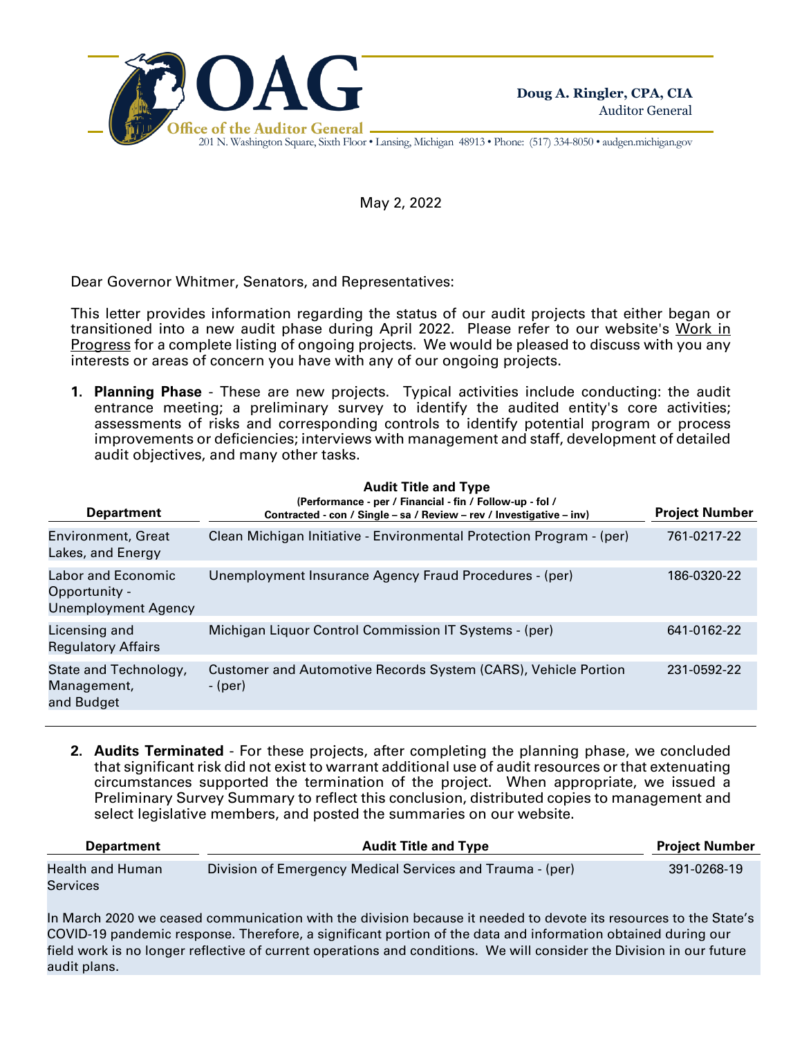

201 N. Washington Square, Sixth Floor • Lansing, Michigan 48913 • Phone: (517) 334-8050 • audgen.michigan.gov

May 2, 2022

Dear Governor Whitmer, Senators, and Representatives:

This letter provides information regarding the status of our audit projects that either began or transitioned into a new audit phase during April 2022. Please refer to our website's Work in Progress for a complete listing of ongoing projects. We would be pleased to discuss with you any interests or areas of concern you have with any of our ongoing projects.

**1. Planning Phase** - These are new projects. Typical activities include conducting: the audit entrance meeting; a preliminary survey to identify the audited entity's core activities; assessments of risks and corresponding controls to identify potential program or process improvements or deficiencies; interviews with management and staff, development of detailed audit objectives, and many other tasks.

| <b>Department</b>                                                        | <b>Audit Title and Type</b><br>(Performance - per / Financial - fin / Follow-up - fol /<br>Contracted - con / Single - sa / Review - rev / Investigative - inv) | <b>Project Number</b> |
|--------------------------------------------------------------------------|-----------------------------------------------------------------------------------------------------------------------------------------------------------------|-----------------------|
| <b>Environment, Great</b><br>Lakes, and Energy                           | Clean Michigan Initiative - Environmental Protection Program - (per)                                                                                            | 761-0217-22           |
| <b>Labor and Economic</b><br>Opportunity -<br><b>Unemployment Agency</b> | Unemployment Insurance Agency Fraud Procedures - (per)                                                                                                          | 186-0320-22           |
| Licensing and<br><b>Regulatory Affairs</b>                               | Michigan Liquor Control Commission IT Systems - (per)                                                                                                           | 641-0162-22           |
| State and Technology,<br>Management,<br>and Budget                       | Customer and Automotive Records System (CARS), Vehicle Portion<br>- (per)                                                                                       | 231-0592-22           |

**2. Audits Terminated** - For these projects, after completing the planning phase, we concluded that significant risk did not exist to warrant additional use of audit resources or that extenuating circumstances supported the termination of the project. When appropriate, we issued a Preliminary Survey Summary to reflect this conclusion, distributed copies to management and select legislative members, and posted the summaries on our website.

| <b>Department</b>            | <b>Audit Title and Type</b>                               | <b>Project Number</b> |  |
|------------------------------|-----------------------------------------------------------|-----------------------|--|
| Health and Human<br>Services | Division of Emergency Medical Services and Trauma - (per) | 391-0268-19           |  |

In March 2020 we ceased communication with the division because it needed to devote its resources to the State's COVID-19 pandemic response. Therefore, a significant portion of the data and information obtained during our field work is no longer reflective of current operations and conditions. We will consider the Division in our future audit plans.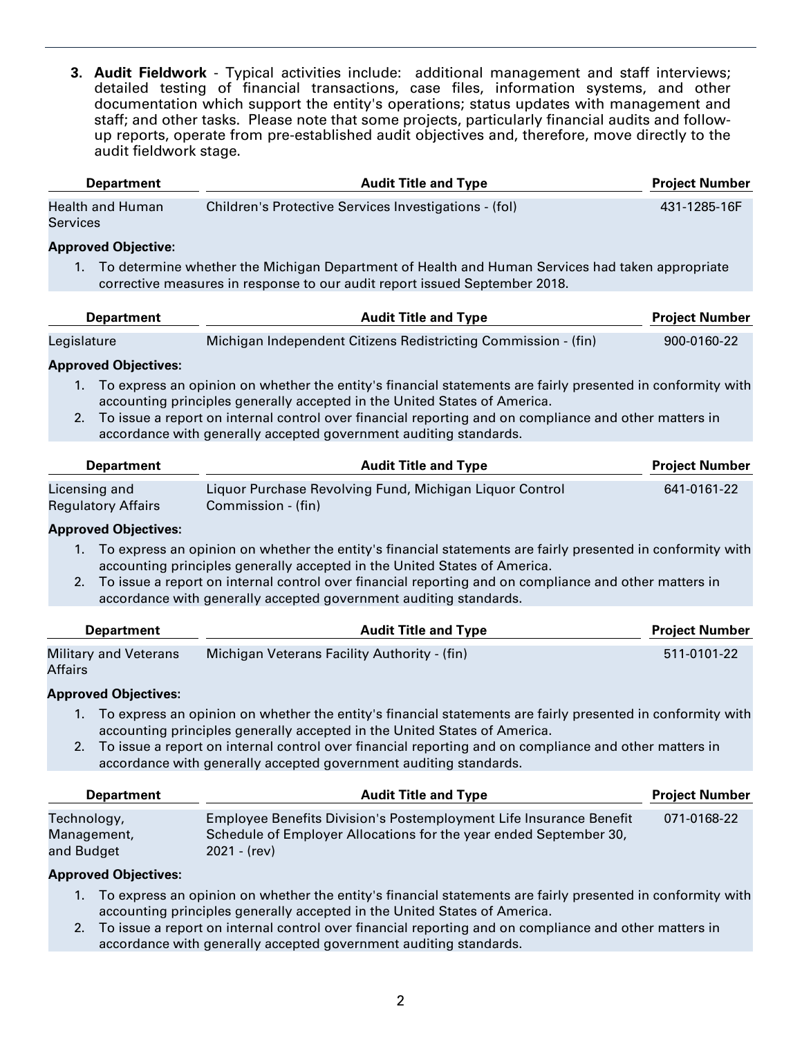**3. Audit Fieldwork** - Typical activities include: additional management and staff interviews; detailed testing of financial transactions, case files, information systems, and other documentation which support the entity's operations; status updates with management and staff; and other tasks. Please note that some projects, particularly financial audits and followup reports, operate from pre-established audit objectives and, therefore, move directly to the audit fieldwork stage.

| <b>Department</b>            | <b>Audit Title and Type</b>                           | <b>Project Number</b> |  |
|------------------------------|-------------------------------------------------------|-----------------------|--|
| Health and Human<br>Services | Children's Protective Services Investigations - (fol) | 431-1285-16F          |  |

### **Approved Objective:**

1. To determine whether the Michigan Department of Health and Human Services had taken appropriate corrective measures in response to our audit report issued September 2018.

| <b>Department</b> | <b>Audit Title and Type</b>                                    | <b>Project Number</b> |
|-------------------|----------------------------------------------------------------|-----------------------|
|                   | Michigan Independent Citizens Redistricting Commission - (fin) | $900 - 0160 - 22$     |
| Legislature       |                                                                |                       |

## **Approved Objectives:**

- 1. To express an opinion on whether the entity's financial statements are fairly presented in conformity with accounting principles generally accepted in the United States of America.
- 2. To issue a report on internal control over financial reporting and on compliance and other matters in accordance with generally accepted government auditing standards.

| <b>Department</b>                          | <b>Audit Title and Type</b>                                                   |             |
|--------------------------------------------|-------------------------------------------------------------------------------|-------------|
| Licensing and<br><b>Regulatory Affairs</b> | Liquor Purchase Revolving Fund, Michigan Liquor Control<br>Commission - (fin) | 641-0161-22 |

## **Approved Objectives:**

- 1. To express an opinion on whether the entity's financial statements are fairly presented in conformity with accounting principles generally accepted in the United States of America.
- 2. To issue a report on internal control over financial reporting and on compliance and other matters in accordance with generally accepted government auditing standards.

| <b>Department</b>                       | <b>Audit Title and Type</b>                  | <b>Project Number</b> |
|-----------------------------------------|----------------------------------------------|-----------------------|
| <b>Military and Veterans</b><br>Affairs | Michigan Veterans Facility Authority - (fin) | 511-0101-22           |

#### **Approved Objectives:**

- 1. To express an opinion on whether the entity's financial statements are fairly presented in conformity with accounting principles generally accepted in the United States of America.
- 2. To issue a report on internal control over financial reporting and on compliance and other matters in accordance with generally accepted government auditing standards.

| <b>Department</b>                        | <b>Audit Title and Type</b>                                                                                                                               | <b>Project Number</b> |
|------------------------------------------|-----------------------------------------------------------------------------------------------------------------------------------------------------------|-----------------------|
| Technology,<br>Management,<br>and Budget | Employee Benefits Division's Postemployment Life Insurance Benefit<br>Schedule of Employer Allocations for the year ended September 30,<br>$2021 - (rev)$ | 071-0168-22           |

## **Approved Objectives:**

- 1. To express an opinion on whether the entity's financial statements are fairly presented in conformity with accounting principles generally accepted in the United States of America.
- 2. To issue a report on internal control over financial reporting and on compliance and other matters in accordance with generally accepted government auditing standards.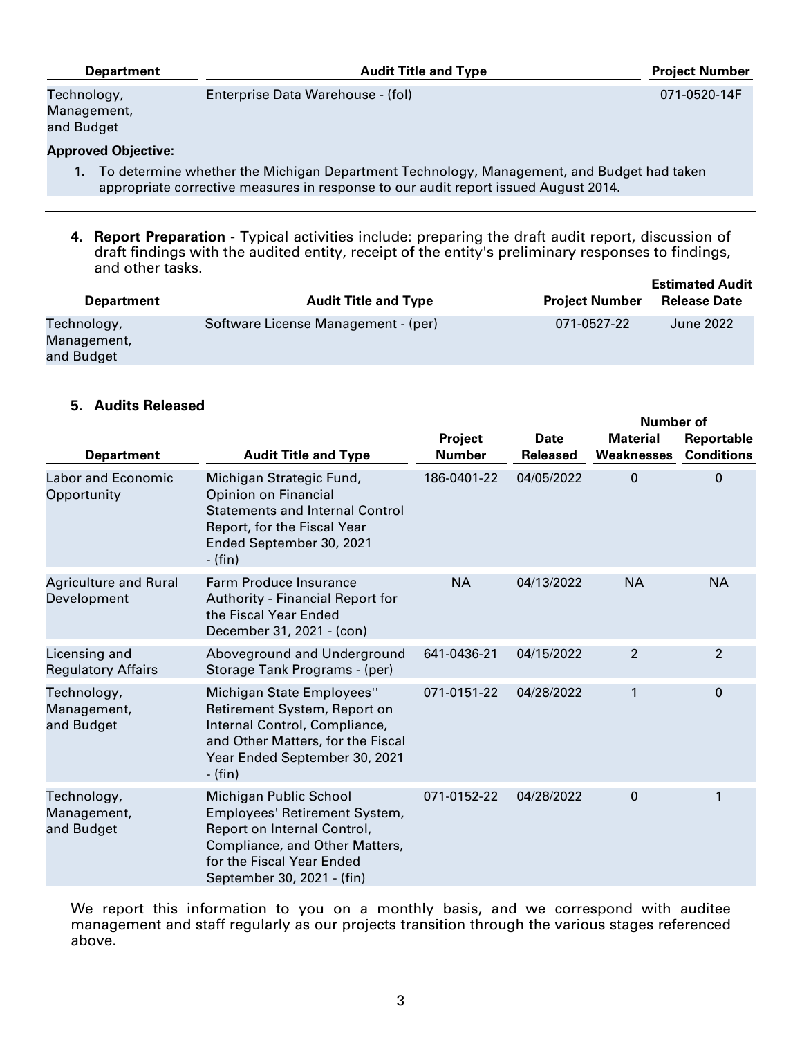| <b>Department</b>                        | <b>Audit Title and Type</b>       | <b>Project Number</b> |
|------------------------------------------|-----------------------------------|-----------------------|
| Technology,<br>Management,<br>and Budget | Enterprise Data Warehouse - (fol) | 071-0520-14F          |
| <b>Approved Objective:</b>               |                                   |                       |

- 1. To determine whether the Michigan Department Technology, Management, and Budget had taken appropriate corrective measures in response to our audit report issued August 2014.
- **4. Report Preparation** Typical activities include: preparing the draft audit report, discussion of draft findings with the audited entity, receipt of the entity's preliminary responses to findings, and other tasks. **Estimated Audit**

| <b>Department</b>                        | <b>Audit Title and Type</b>         | <b>Project Number</b> | <b>Estimated Audit</b><br><b>Release Date</b> |
|------------------------------------------|-------------------------------------|-----------------------|-----------------------------------------------|
| Technology,<br>Management,<br>and Budget | Software License Management - (per) | 071-0527-22           | <b>June 2022</b>                              |

# **5. Audits Released**

|                                             |                                                                                                                                                                                     |                          |                                | <b>Number of</b>                     |                                 |
|---------------------------------------------|-------------------------------------------------------------------------------------------------------------------------------------------------------------------------------------|--------------------------|--------------------------------|--------------------------------------|---------------------------------|
| <b>Department</b>                           | <b>Audit Title and Type</b>                                                                                                                                                         | Project<br><b>Number</b> | <b>Date</b><br><b>Released</b> | <b>Material</b><br><b>Weaknesses</b> | Reportable<br><b>Conditions</b> |
| <b>Labor and Economic</b><br>Opportunity    | Michigan Strategic Fund,<br><b>Opinion on Financial</b><br><b>Statements and Internal Control</b><br>Report, for the Fiscal Year<br>Ended September 30, 2021<br>- (fin)             | 186-0401-22              | 04/05/2022                     | $\Omega$                             | $\Omega$                        |
| <b>Agriculture and Rural</b><br>Development | <b>Farm Produce Insurance</b><br>Authority - Financial Report for<br>the Fiscal Year Ended<br>December 31, 2021 - (con)                                                             | <b>NA</b>                | 04/13/2022                     | <b>NA</b>                            | <b>NA</b>                       |
| Licensing and<br><b>Regulatory Affairs</b>  | Aboveground and Underground<br>Storage Tank Programs - (per)                                                                                                                        | 641-0436-21              | 04/15/2022                     | $\overline{2}$                       | 2                               |
| Technology,<br>Management,<br>and Budget    | Michigan State Employees"<br>Retirement System, Report on<br>Internal Control, Compliance,<br>and Other Matters, for the Fiscal<br>Year Ended September 30, 2021<br>- (fin)         | 071-0151-22              | 04/28/2022                     | $\mathbf{1}$                         | $\Omega$                        |
| Technology,<br>Management,<br>and Budget    | Michigan Public School<br>Employees' Retirement System,<br>Report on Internal Control,<br>Compliance, and Other Matters,<br>for the Fiscal Year Ended<br>September 30, 2021 - (fin) | 071-0152-22              | 04/28/2022                     | $\mathbf 0$                          | 1                               |

We report this information to you on a monthly basis, and we correspond with auditee management and staff regularly as our projects transition through the various stages referenced above.